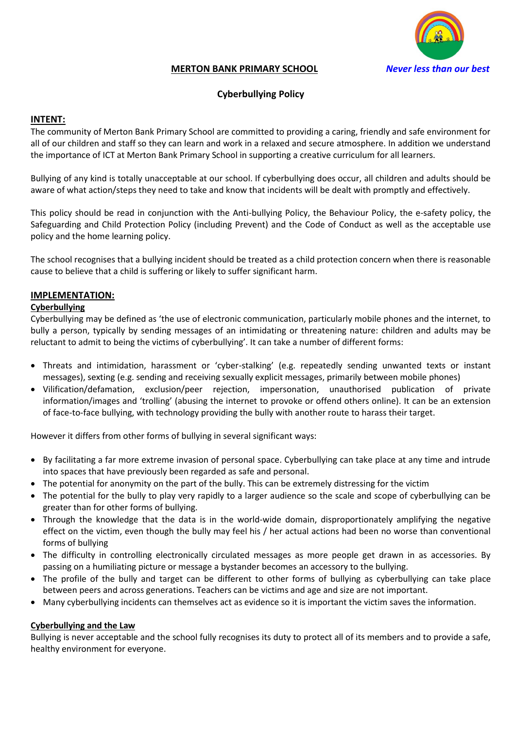

## **MERTON BANK PRIMARY SCHOOL** *Never less than our best*

# **Cyberbullying Policy**

### **INTENT:**

The community of Merton Bank Primary School are committed to providing a caring, friendly and safe environment for all of our children and staff so they can learn and work in a relaxed and secure atmosphere. In addition we understand the importance of ICT at Merton Bank Primary School in supporting a creative curriculum for all learners.

Bullying of any kind is totally unacceptable at our school. If cyberbullying does occur, all children and adults should be aware of what action/steps they need to take and know that incidents will be dealt with promptly and effectively.

This policy should be read in conjunction with the Anti-bullying Policy, the Behaviour Policy, the e-safety policy, the Safeguarding and Child Protection Policy (including Prevent) and the Code of Conduct as well as the acceptable use policy and the home learning policy.

The school recognises that a bullying incident should be treated as a child protection concern when there is reasonable cause to believe that a child is suffering or likely to suffer significant harm.

### **IMPLEMENTATION:**

### **Cyberbullying**

Cyberbullying may be defined as 'the use of electronic communication, particularly mobile phones and the internet, to bully a person, typically by sending messages of an intimidating or threatening nature: children and adults may be reluctant to admit to being the victims of cyberbullying'. It can take a number of different forms:

- Threats and intimidation, harassment or 'cyber-stalking' (e.g. repeatedly sending unwanted texts or instant messages), sexting (e.g. sending and receiving sexually explicit messages, primarily between mobile phones)
- Vilification/defamation, exclusion/peer rejection, impersonation, unauthorised publication of private information/images and 'trolling' (abusing the internet to provoke or offend others online). It can be an extension of face-to-face bullying, with technology providing the bully with another route to harass their target.

However it differs from other forms of bullying in several significant ways:

- By facilitating a far more extreme invasion of personal space. Cyberbullying can take place at any time and intrude into spaces that have previously been regarded as safe and personal.
- The potential for anonymity on the part of the bully. This can be extremely distressing for the victim
- The potential for the bully to play very rapidly to a larger audience so the scale and scope of cyberbullying can be greater than for other forms of bullying.
- Through the knowledge that the data is in the world-wide domain, disproportionately amplifying the negative effect on the victim, even though the bully may feel his / her actual actions had been no worse than conventional forms of bullying
- The difficulty in controlling electronically circulated messages as more people get drawn in as accessories. By passing on a humiliating picture or message a bystander becomes an accessory to the bullying.
- The profile of the bully and target can be different to other forms of bullying as cyberbullying can take place between peers and across generations. Teachers can be victims and age and size are not important.
- Many cyberbullying incidents can themselves act as evidence so it is important the victim saves the information.

### **Cyberbullying and the Law**

Bullying is never acceptable and the school fully recognises its duty to protect all of its members and to provide a safe, healthy environment for everyone.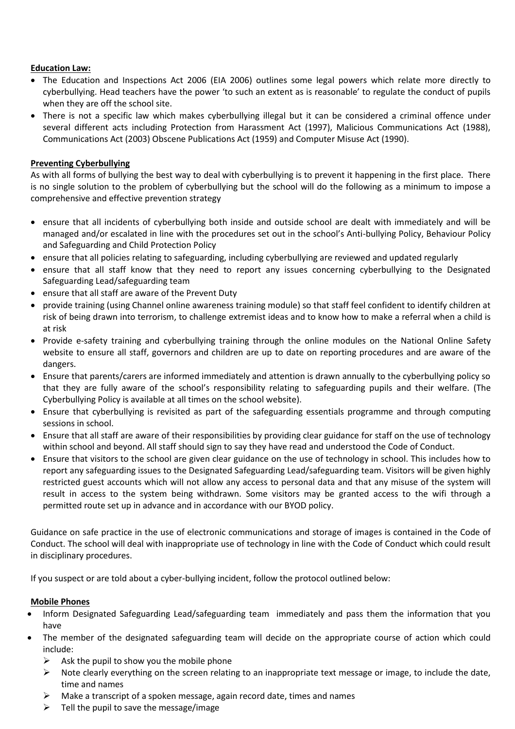## **Education Law:**

- The Education and Inspections Act 2006 (EIA 2006) outlines some legal powers which relate more directly to cyberbullying. Head teachers have the power 'to such an extent as is reasonable' to regulate the conduct of pupils when they are off the school site.
- There is not a specific law which makes cyberbullying illegal but it can be considered a criminal offence under several different acts including Protection from Harassment Act (1997), Malicious Communications Act (1988), Communications Act (2003) Obscene Publications Act (1959) and Computer Misuse Act (1990).

# **Preventing Cyberbullying**

As with all forms of bullying the best way to deal with cyberbullying is to prevent it happening in the first place. There is no single solution to the problem of cyberbullying but the school will do the following as a minimum to impose a comprehensive and effective prevention strategy

- ensure that all incidents of cyberbullying both inside and outside school are dealt with immediately and will be managed and/or escalated in line with the procedures set out in the school's Anti-bullying Policy, Behaviour Policy and Safeguarding and Child Protection Policy
- ensure that all policies relating to safeguarding, including cyberbullying are reviewed and updated regularly
- ensure that all staff know that they need to report any issues concerning cyberbullying to the Designated Safeguarding Lead/safeguarding team
- ensure that all staff are aware of the Prevent Duty
- provide training (using Channel online awareness training module) so that staff feel confident to identify children at risk of being drawn into terrorism, to challenge extremist ideas and to know how to make a referral when a child is at risk
- Provide e-safety training and cyberbullying training through the online modules on the National Online Safety website to ensure all staff, governors and children are up to date on reporting procedures and are aware of the dangers.
- Ensure that parents/carers are informed immediately and attention is drawn annually to the cyberbullying policy so that they are fully aware of the school's responsibility relating to safeguarding pupils and their welfare. (The Cyberbullying Policy is available at all times on the school website).
- Ensure that cyberbullying is revisited as part of the safeguarding essentials programme and through computing sessions in school.
- Ensure that all staff are aware of their responsibilities by providing clear guidance for staff on the use of technology within school and beyond. All staff should sign to say they have read and understood the Code of Conduct.
- Ensure that visitors to the school are given clear guidance on the use of technology in school. This includes how to report any safeguarding issues to the Designated Safeguarding Lead/safeguarding team. Visitors will be given highly restricted guest accounts which will not allow any access to personal data and that any misuse of the system will result in access to the system being withdrawn. Some visitors may be granted access to the wifi through a permitted route set up in advance and in accordance with our BYOD policy.

Guidance on safe practice in the use of electronic communications and storage of images is contained in the Code of Conduct. The school will deal with inappropriate use of technology in line with the Code of Conduct which could result in disciplinary procedures.

If you suspect or are told about a cyber-bullying incident, follow the protocol outlined below:

## **Mobile Phones**

- Inform Designated Safeguarding Lead/safeguarding team immediately and pass them the information that you have
- The member of the designated safeguarding team will decide on the appropriate course of action which could include:
	- Ask the pupil to show you the mobile phone
	- $\triangleright$  Note clearly everything on the screen relating to an inappropriate text message or image, to include the date, time and names
	- ➢ Make a transcript of a spoken message, again record date, times and names
	- ➢ Tell the pupil to save the message/image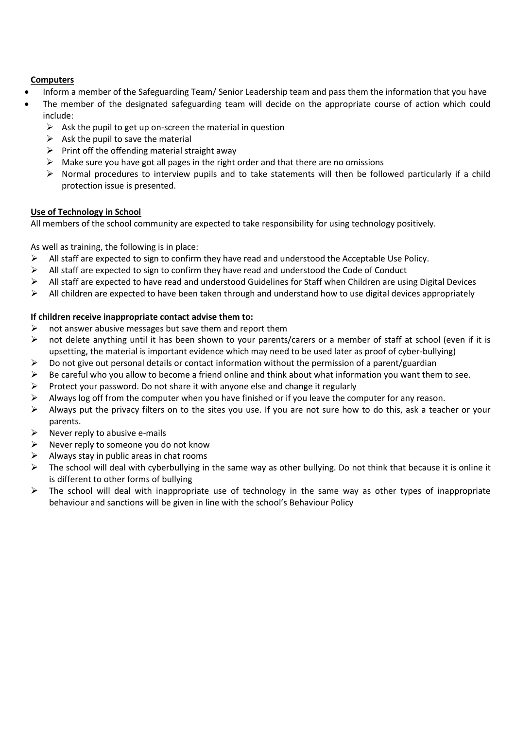## **Computers**

- Inform a member of the Safeguarding Team/ Senior Leadership team and pass them the information that you have
- The member of the designated safeguarding team will decide on the appropriate course of action which could include:
	- $\triangleright$  Ask the pupil to get up on-screen the material in question
	- $\triangleright$  Ask the pupil to save the material
	- $\triangleright$  Print off the offending material straight away
	- $\triangleright$  Make sure you have got all pages in the right order and that there are no omissions
	- ➢ Normal procedures to interview pupils and to take statements will then be followed particularly if a child protection issue is presented.

### **Use of Technology in School**

All members of the school community are expected to take responsibility for using technology positively.

As well as training, the following is in place:

- $\triangleright$  All staff are expected to sign to confirm they have read and understood the Acceptable Use Policy.
- $\triangleright$  All staff are expected to sign to confirm they have read and understood the Code of Conduct
- $\triangleright$  All staff are expected to have read and understood Guidelines for Staff when Children are using Digital Devices
- $\triangleright$  All children are expected to have been taken through and understand how to use digital devices appropriately

## **If children receive inappropriate contact advise them to:**

- $\triangleright$  not answer abusive messages but save them and report them
- $\triangleright$  not delete anything until it has been shown to your parents/carers or a member of staff at school (even if it is upsetting, the material is important evidence which may need to be used later as proof of cyber-bullying)
- $\triangleright$  Do not give out personal details or contact information without the permission of a parent/guardian
- $\triangleright$  Be careful who you allow to become a friend online and think about what information you want them to see.
- $\triangleright$  Protect your password. Do not share it with anyone else and change it regularly
- $\triangleright$  Always log off from the computer when you have finished or if you leave the computer for any reason.
- $\triangleright$  Always put the privacy filters on to the sites you use. If you are not sure how to do this, ask a teacher or your parents.
- $\triangleright$  Never reply to abusive e-mails
- $\triangleright$  Never reply to someone you do not know
- $\triangleright$  Always stay in public areas in chat rooms
- $\triangleright$  The school will deal with cyberbullying in the same way as other bullying. Do not think that because it is online it is different to other forms of bullying
- $\triangleright$  The school will deal with inappropriate use of technology in the same way as other types of inappropriate behaviour and sanctions will be given in line with the school's Behaviour Policy